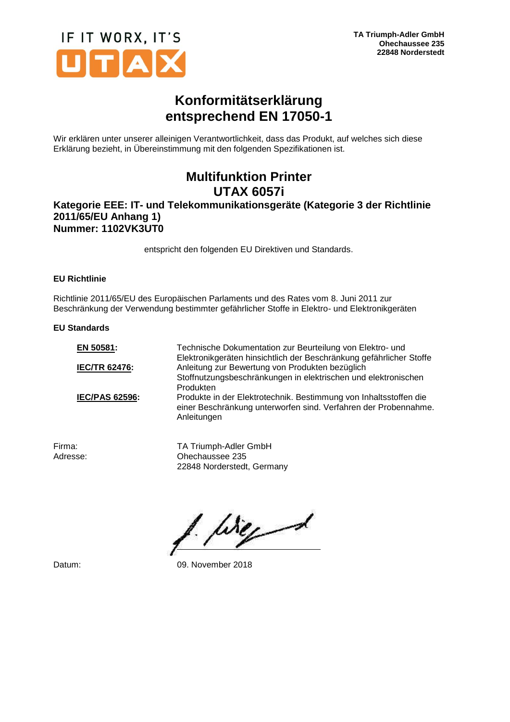

## **Konformitätserklärung entsprechend EN 17050-1**

Wir erklären unter unserer alleinigen Verantwortlichkeit, dass das Produkt, auf welches sich diese Erklärung bezieht, in Übereinstimmung mit den folgenden Spezifikationen ist.

## **Multifunktion Printer UTAX 6057i**

### **Kategorie EEE: IT- und Telekommunikationsgeräte (Kategorie 3 der Richtlinie 2011/65/EU Anhang 1) Nummer: 1102VK3UT0**

entspricht den folgenden EU Direktiven und Standards.

#### **EU Richtlinie**

Richtlinie 2011/65/EU des Europäischen Parlaments und des Rates vom 8. Juni 2011 zur Beschränkung der Verwendung bestimmter gefährlicher Stoffe in Elektro- und Elektronikgeräten

#### **EU Standards**

| Technische Dokumentation zur Beurteilung von Elektro- und<br>Elektronikgeräten hinsichtlich der Beschränkung gefährlicher Stoffe                    |
|-----------------------------------------------------------------------------------------------------------------------------------------------------|
| Anleitung zur Bewertung von Produkten bezüglich                                                                                                     |
| Stoffnutzungsbeschränkungen in elektrischen und elektronischen<br>Produkten                                                                         |
| Produkte in der Elektrotechnik. Bestimmung von Inhaltsstoffen die<br>einer Beschränkung unterworfen sind. Verfahren der Probennahme.<br>Anleitungen |
|                                                                                                                                                     |

Firma: TA Triumph-Adler GmbH Adresse: Ohechaussee 235 22848 Norderstedt, Germany

like 1

Datum: 09. November 2018